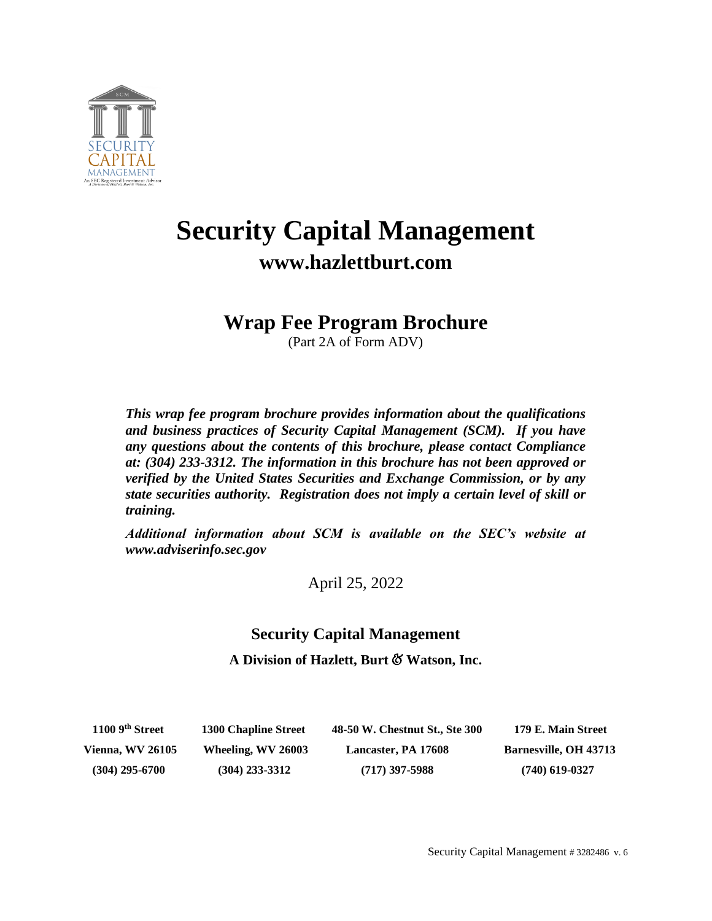

# **Security Capital Management www.hazlettburt.com**

## **Wrap Fee Program Brochure**

(Part 2A of Form ADV)

*This wrap fee program brochure provides information about the qualifications and business practices of Security Capital Management (SCM). If you have any questions about the contents of this brochure, please contact Compliance at: (304) 233-3312. The information in this brochure has not been approved or verified by the United States Securities and Exchange Commission, or by any state securities authority. Registration does not imply a certain level of skill or training.*

*Additional information about SCM is available on the SEC's website at www.adviserinfo.sec.gov*

April 25, 2022

### **Security Capital Management**

**A Division of Hazlett, Burt** & **Watson, Inc.**

 **1100 9**

**th Street 1300 Chapline Street 48-50 W. Chestnut St., Ste 300 179 E. Main Street Vienna, WV 26105 Wheeling, WV 26003 Lancaster, PA 17608 Barnesville, OH 43713 (304) 295-6700 (304) 233-3312 (717) 397-5988 (740) 619-0327**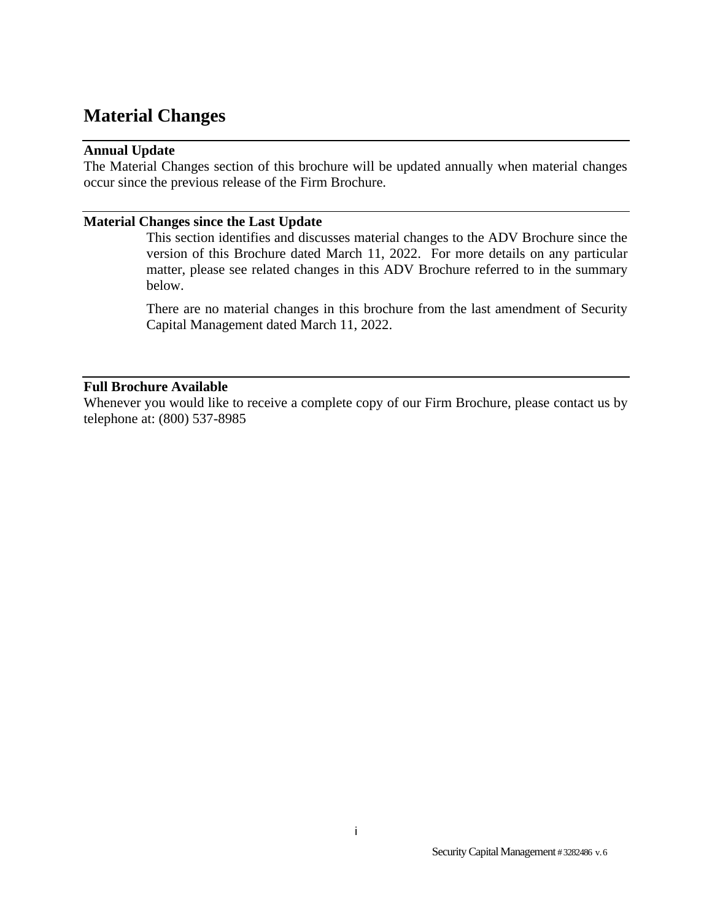## <span id="page-1-1"></span><span id="page-1-0"></span>**Material Changes**

#### **Annual Update**

The Material Changes section of this brochure will be updated annually when material changes occur since the previous release of the Firm Brochure.

#### <span id="page-1-2"></span>**Material Changes since the Last Update**

This section identifies and discusses material changes to the ADV Brochure since the version of this Brochure dated March 11, 2022. For more details on any particular matter, please see related changes in this ADV Brochure referred to in the summary below.

There are no material changes in this brochure from the last amendment of Security Capital Management dated March 11, 2022.

#### <span id="page-1-3"></span>**Full Brochure Available**

Whenever you would like to receive a complete copy of our Firm Brochure, please contact us by telephone at: (800) 537-8985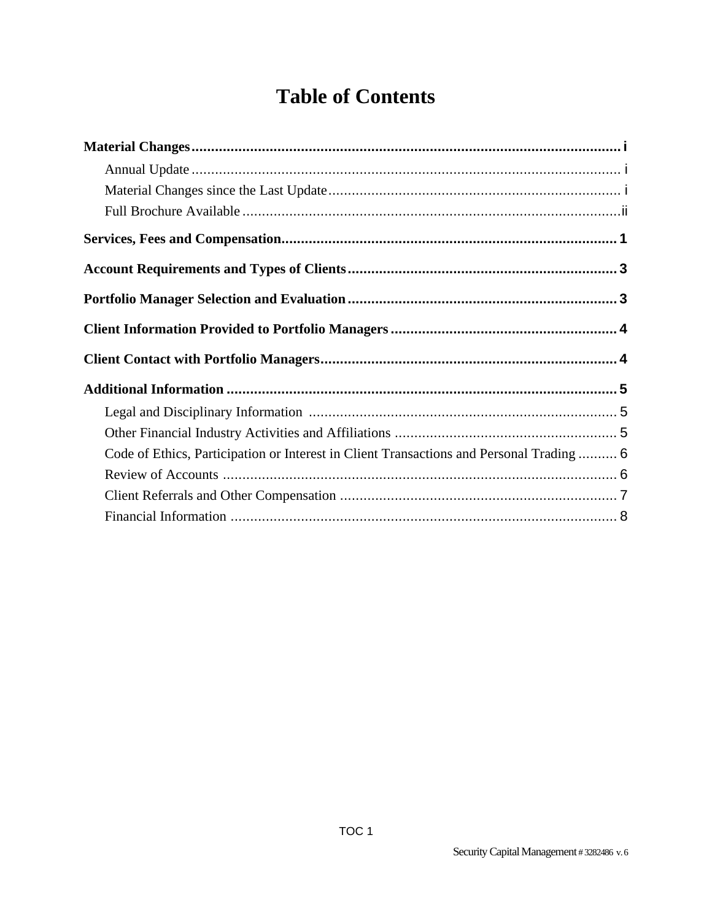## **Table of Contents**

| Code of Ethics, Participation or Interest in Client Transactions and Personal Trading  6 |
|------------------------------------------------------------------------------------------|
|                                                                                          |
|                                                                                          |
|                                                                                          |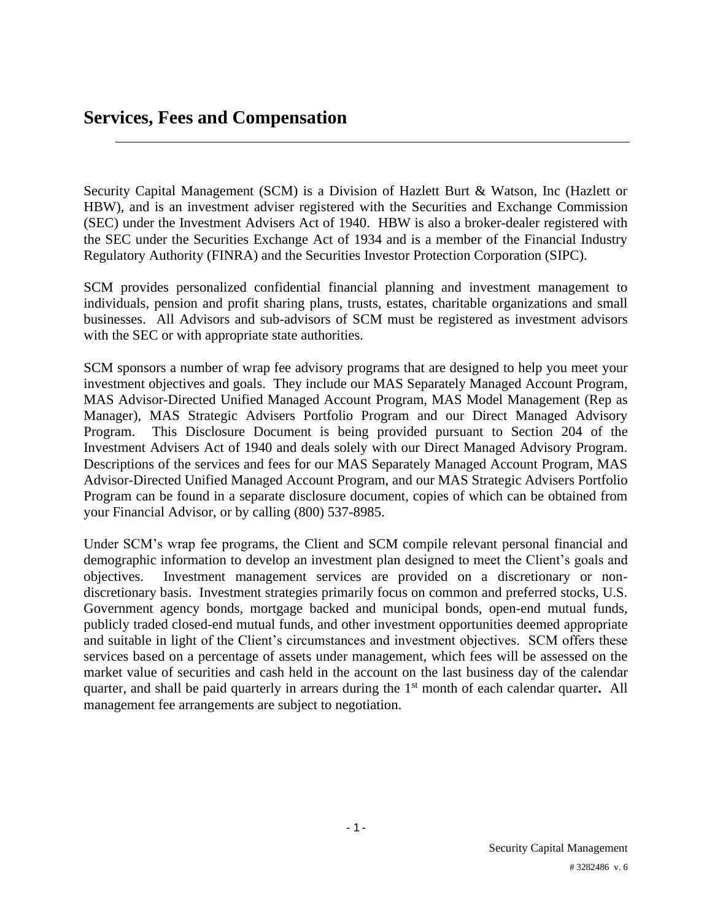## <span id="page-3-0"></span>**Services, Fees and Compensation**

Security Capital Management (SCM) is a Division of Hazlett Burt & Watson, Inc (Hazlett or HBW), and is an investment adviser registered with the Securities and Exchange Commission (SEC) under the Investment Advisers Act of 1940. HBW is also a broker-dealer registered with the SEC under the Securities Exchange Act of 1934 and is a member of the Financial Industry Regulatory Authority (FINRA) and the Securities Investor Protection Corporation (SIPC).

SCM provides personalized confidential financial planning and investment management to individuals, pension and profit sharing plans, trusts, estates, charitable organizations and small businesses. All Advisors and sub-advisors of SCM must be registered as investment advisors with the SEC or with appropriate state authorities.

SCM sponsors a number of wrap fee advisory programs that are designed to help you meet your investment objectives and goals. They include our MAS Separately Managed Account Program, MAS Advisor-Directed Unified Managed Account Program, MAS Model Management (Rep as Manager), MAS Strategic Advisers Portfolio Program and our Direct Managed Advisory Program. This Disclosure Document is being provided pursuant to Section 204 of the Investment Advisers Act of 1940 and deals solely with our Direct Managed Advisory Program. Descriptions of the services and fees for our MAS Separately Managed Account Program, MAS Advisor-Directed Unified Managed Account Program, and our MAS Strategic Advisers Portfolio Program can be found in a separate disclosure document, copies of which can be obtained from your Financial Advisor, or by calling (800) 537-8985.

Under SCM's wrap fee programs, the Client and SCM compile relevant personal financial and demographic information to develop an investment plan designed to meet the Client's goals and objectives. Investment management services are provided on a discretionary or nondiscretionary basis. Investment strategies primarily focus on common and preferred stocks, U.S. Government agency bonds, mortgage backed and municipal bonds, open-end mutual funds, publicly traded closed-end mutual funds, and other investment opportunities deemed appropriate and suitable in light of the Client's circumstances and investment objectives. SCM offers these services based on a percentage of assets under management, which fees will be assessed on the market value of securities and cash held in the account on the last business day of the calendar quarter, and shall be paid quarterly in arrears during the 1<sup>st</sup> month of each calendar quarter. All management fee arrangements are subject to negotiation.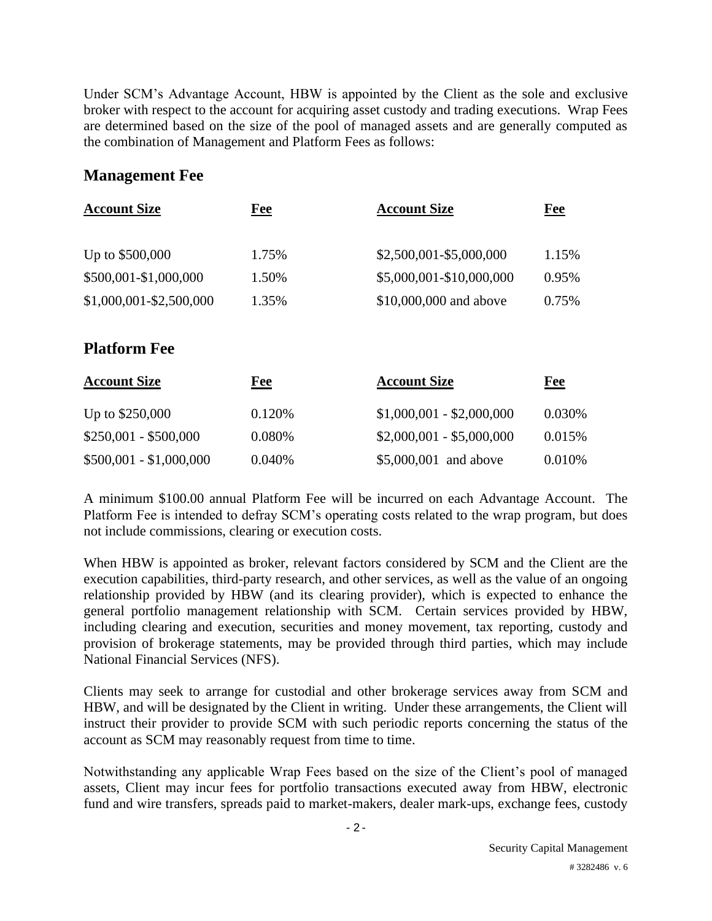Under SCM's Advantage Account, HBW is appointed by the Client as the sole and exclusive broker with respect to the account for acquiring asset custody and trading executions. Wrap Fees are determined based on the size of the pool of managed assets and are generally computed as the combination of Management and Platform Fees as follows:

#### **Management Fee**

| <b>Account Size</b>     | Fee   | <b>Account Size</b>      | Fee   |
|-------------------------|-------|--------------------------|-------|
| Up to \$500,000         | 1.75% | \$2,500,001-\$5,000,000  | 1.15% |
| \$500,001-\$1,000,000   | 1.50% | \$5,000,001-\$10,000,000 | 0.95% |
| \$1,000,001-\$2,500,000 | 1.35% | \$10,000,000 and above   | 0.75% |
|                         |       |                          |       |

### **Platform Fee**

| <b>Account Size</b>     | <u>Fee</u> | <b>Account Size</b>       | <u>Fee</u> |
|-------------------------|------------|---------------------------|------------|
| Up to \$250,000         | 0.120\%    | $$1,000,001 - $2,000,000$ | 0.030\%    |
| $$250,001 - $500,000$   | 0.080%     | $$2,000,001 - $5,000,000$ | 0.015\%    |
| $$500,001 - $1,000,000$ | 0.040%     | \$5,000,001 and above     | 0.010%     |

A minimum \$100.00 annual Platform Fee will be incurred on each Advantage Account. The Platform Fee is intended to defray SCM's operating costs related to the wrap program, but does not include commissions, clearing or execution costs.

When HBW is appointed as broker, relevant factors considered by SCM and the Client are the execution capabilities, third-party research, and other services, as well as the value of an ongoing relationship provided by HBW (and its clearing provider), which is expected to enhance the general portfolio management relationship with SCM. Certain services provided by HBW, including clearing and execution, securities and money movement, tax reporting, custody and provision of brokerage statements, may be provided through third parties, which may include National Financial Services (NFS).

Clients may seek to arrange for custodial and other brokerage services away from SCM and HBW, and will be designated by the Client in writing. Under these arrangements, the Client will instruct their provider to provide SCM with such periodic reports concerning the status of the account as SCM may reasonably request from time to time.

Notwithstanding any applicable Wrap Fees based on the size of the Client's pool of managed assets, Client may incur fees for portfolio transactions executed away from HBW, electronic fund and wire transfers, spreads paid to market-makers, dealer mark-ups, exchange fees, custody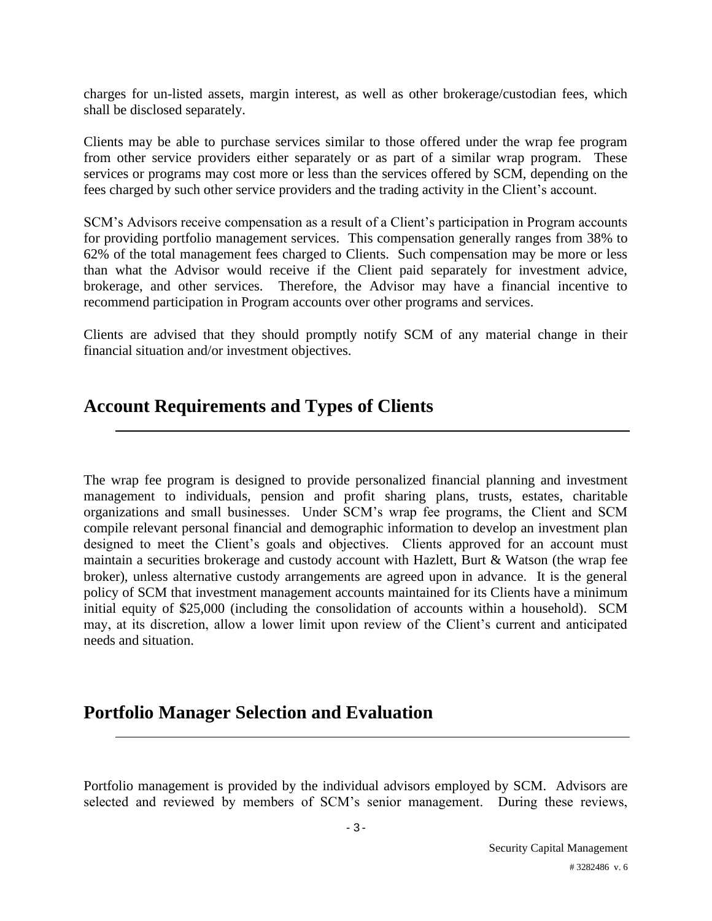charges for un-listed assets, margin interest, as well as other brokerage/custodian fees, which shall be disclosed separately.

Clients may be able to purchase services similar to those offered under the wrap fee program from other service providers either separately or as part of a similar wrap program. These services or programs may cost more or less than the services offered by SCM, depending on the fees charged by such other service providers and the trading activity in the Client's account.

SCM's Advisors receive compensation as a result of a Client's participation in Program accounts for providing portfolio management services. This compensation generally ranges from 38% to 62% of the total management fees charged to Clients. Such compensation may be more or less than what the Advisor would receive if the Client paid separately for investment advice, brokerage, and other services. Therefore, the Advisor may have a financial incentive to recommend participation in Program accounts over other programs and services.

Clients are advised that they should promptly notify SCM of any material change in their financial situation and/or investment objectives.

## <span id="page-5-0"></span>**Account Requirements and Types of Clients**

The wrap fee program is designed to provide personalized financial planning and investment management to individuals, pension and profit sharing plans, trusts, estates, charitable organizations and small businesses. Under SCM's wrap fee programs, the Client and SCM compile relevant personal financial and demographic information to develop an investment plan designed to meet the Client's goals and objectives. Clients approved for an account must maintain a securities brokerage and custody account with Hazlett, Burt & Watson (the wrap fee broker), unless alternative custody arrangements are agreed upon in advance. It is the general policy of SCM that investment management accounts maintained for its Clients have a minimum initial equity of \$25,000 (including the consolidation of accounts within a household). SCM may, at its discretion, allow a lower limit upon review of the Client's current and anticipated needs and situation.

## <span id="page-5-1"></span>**Portfolio Manager Selection and Evaluation**

Portfolio management is provided by the individual advisors employed by SCM. Advisors are selected and reviewed by members of SCM's senior management. During these reviews,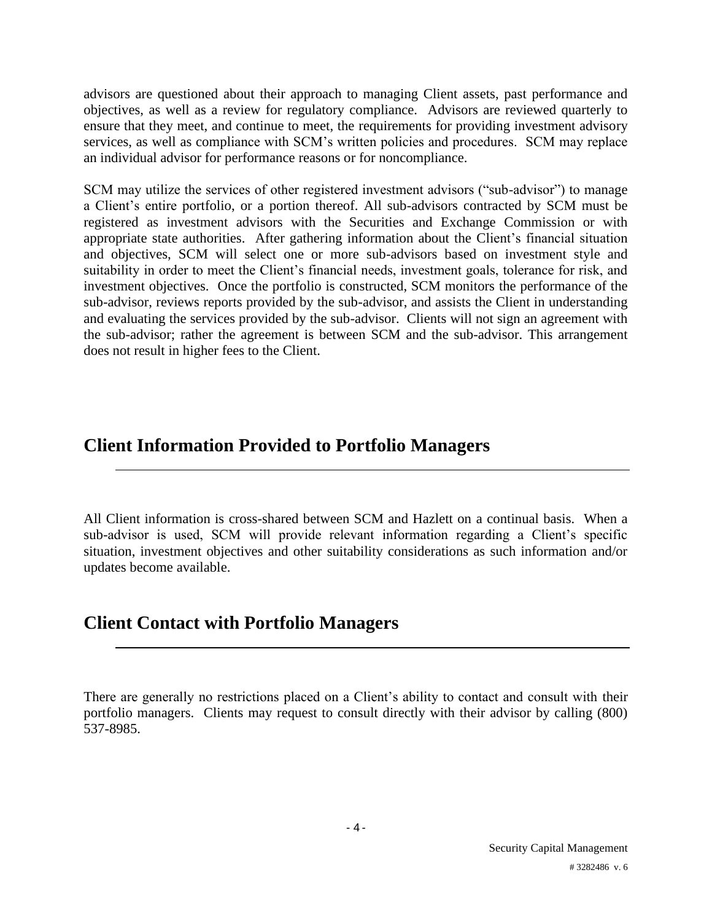advisors are questioned about their approach to managing Client assets, past performance and objectives, as well as a review for regulatory compliance. Advisors are reviewed quarterly to ensure that they meet, and continue to meet, the requirements for providing investment advisory services, as well as compliance with SCM's written policies and procedures. SCM may replace an individual advisor for performance reasons or for noncompliance.

SCM may utilize the services of other registered investment advisors ("sub-advisor") to manage a Client's entire portfolio, or a portion thereof. All sub-advisors contracted by SCM must be registered as investment advisors with the Securities and Exchange Commission or with appropriate state authorities. After gathering information about the Client's financial situation and objectives, SCM will select one or more sub-advisors based on investment style and suitability in order to meet the Client's financial needs, investment goals, tolerance for risk, and investment objectives. Once the portfolio is constructed, SCM monitors the performance of the sub-advisor, reviews reports provided by the sub-advisor, and assists the Client in understanding and evaluating the services provided by the sub-advisor. Clients will not sign an agreement with the sub-advisor; rather the agreement is between SCM and the sub-advisor. This arrangement does not result in higher fees to the Client.

## <span id="page-6-0"></span>**Client Information Provided to Portfolio Managers**

All Client information is cross-shared between SCM and Hazlett on a continual basis. When a sub-advisor is used, SCM will provide relevant information regarding a Client's specific situation, investment objectives and other suitability considerations as such information and/or updates become available.

## <span id="page-6-1"></span>**Client Contact with Portfolio Managers**

There are generally no restrictions placed on a Client's ability to contact and consult with their portfolio managers. Clients may request to consult directly with their advisor by calling (800) 537-8985.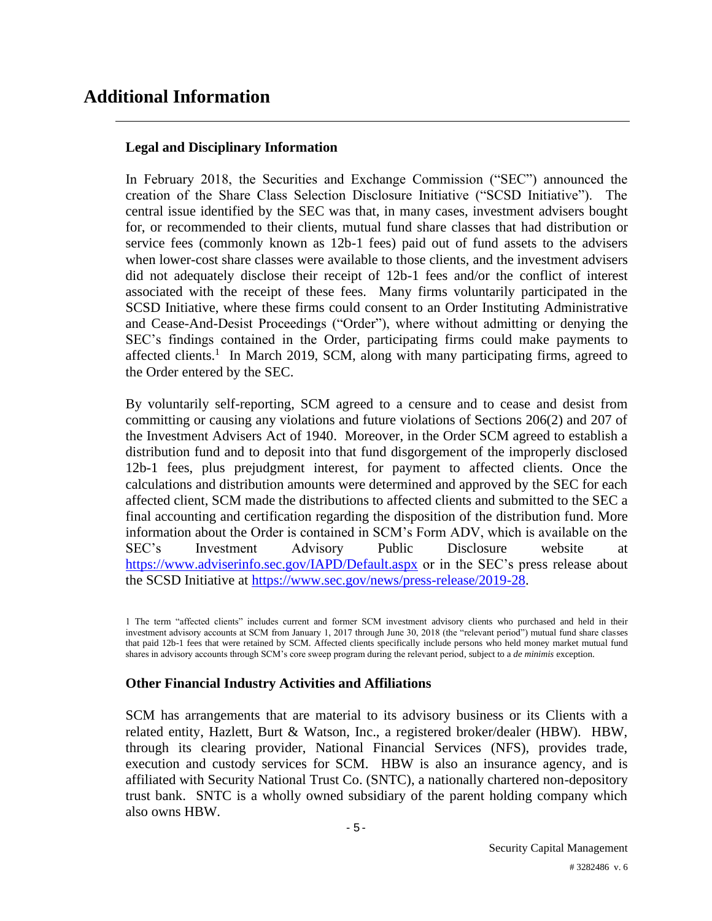## <span id="page-7-0"></span>**Additional Information**

#### **Legal and Disciplinary Information**

In February 2018, the Securities and Exchange Commission ("SEC") announced the creation of the Share Class Selection Disclosure Initiative ("SCSD Initiative"). The central issue identified by the SEC was that, in many cases, investment advisers bought for, or recommended to their clients, mutual fund share classes that had distribution or service fees (commonly known as 12b-1 fees) paid out of fund assets to the advisers when lower-cost share classes were available to those clients, and the investment advisers did not adequately disclose their receipt of 12b-1 fees and/or the conflict of interest associated with the receipt of these fees. Many firms voluntarily participated in the SCSD Initiative, where these firms could consent to an Order Instituting Administrative and Cease-And-Desist Proceedings ("Order"), where without admitting or denying the SEC's findings contained in the Order, participating firms could make payments to affected clients.<sup>1</sup> In March 2019, SCM, along with many participating firms, agreed to the Order entered by the SEC.

By voluntarily self-reporting, SCM agreed to a censure and to cease and desist from committing or causing any violations and future violations of Sections 206(2) and 207 of the Investment Advisers Act of 1940. Moreover, in the Order SCM agreed to establish a distribution fund and to deposit into that fund disgorgement of the improperly disclosed 12b-1 fees, plus prejudgment interest, for payment to affected clients. Once the calculations and distribution amounts were determined and approved by the SEC for each affected client, SCM made the distributions to affected clients and submitted to the SEC a final accounting and certification regarding the disposition of the distribution fund. More information about the Order is contained in SCM's Form ADV, which is available on the SEC's Investment Advisory Public Disclosure website at <https://www.adviserinfo.sec.gov/IAPD/Default.aspx> or in the SEC's press release about the SCSD Initiative at [https://www.sec.gov/news/press-release/2019-28.](https://www.sec.gov/news/press-release/2019-28)

#### **Other Financial Industry Activities and Affiliations**

SCM has arrangements that are material to its advisory business or its Clients with a related entity, Hazlett, Burt & Watson, Inc., a registered broker/dealer (HBW). HBW, through its clearing provider, National Financial Services (NFS), provides trade, execution and custody services for SCM. HBW is also an insurance agency, and is affiliated with Security National Trust Co. (SNTC), a nationally chartered non-depository trust bank. SNTC is a wholly owned subsidiary of the parent holding company which also owns HBW.

<sup>1</sup> The term "affected clients" includes current and former SCM investment advisory clients who purchased and held in their investment advisory accounts at SCM from January 1, 2017 through June 30, 2018 (the "relevant period") mutual fund share classes that paid 12b-1 fees that were retained by SCM. Affected clients specifically include persons who held money market mutual fund shares in advisory accounts through SCM's core sweep program during the relevant period, subject to a *de minimis* exception.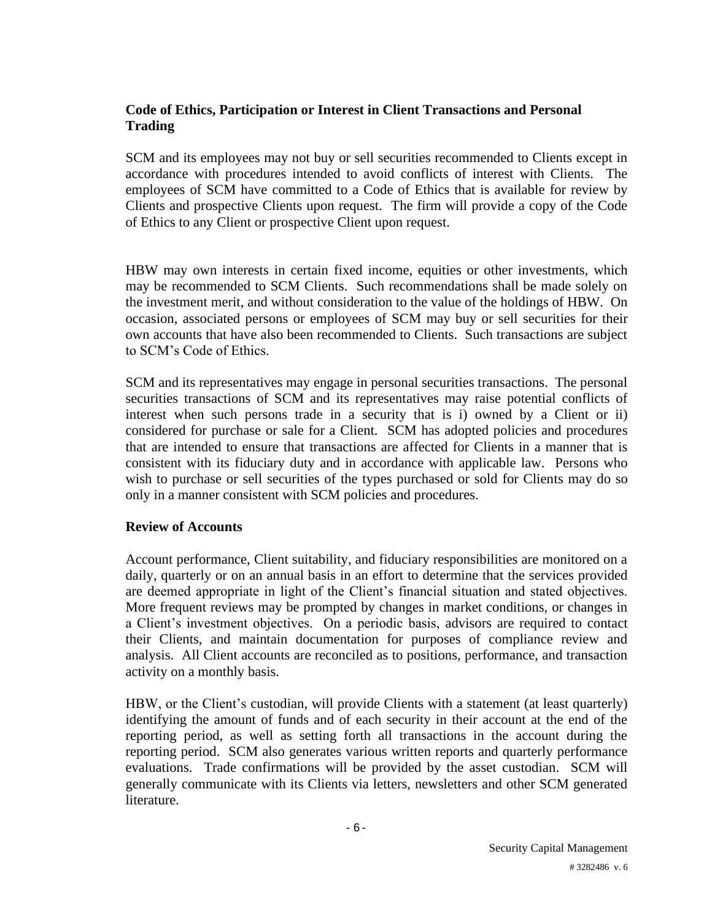#### **Code of Ethics, Participation or Interest in Client Transactions and Personal Trading**

SCM and its employees may not buy or sell securities recommended to Clients except in accordance with procedures intended to avoid conflicts of interest with Clients. The employees of SCM have committed to a Code of Ethics that is available for review by Clients and prospective Clients upon request. The firm will provide a copy of the Code of Ethics to any Client or prospective Client upon request.

HBW may own interests in certain fixed income, equities or other investments, which may be recommended to SCM Clients. Such recommendations shall be made solely on the investment merit, and without consideration to the value of the holdings of HBW. On occasion, associated persons or employees of SCM may buy or sell securities for their own accounts that have also been recommended to Clients. Such transactions are subject to SCM's Code of Ethics.

SCM and its representatives may engage in personal securities transactions. The personal securities transactions of SCM and its representatives may raise potential conflicts of interest when such persons trade in a security that is i) owned by a Client or ii) considered for purchase or sale for a Client. SCM has adopted policies and procedures that are intended to ensure that transactions are affected for Clients in a manner that is consistent with its fiduciary duty and in accordance with applicable law. Persons who wish to purchase or sell securities of the types purchased or sold for Clients may do so only in a manner consistent with SCM policies and procedures.

#### **Review of Accounts**

Account performance, Client suitability, and fiduciary responsibilities are monitored on a daily, quarterly or on an annual basis in an effort to determine that the services provided are deemed appropriate in light of the Client's financial situation and stated objectives. More frequent reviews may be prompted by changes in market conditions, or changes in a Client's investment objectives. On a periodic basis, advisors are required to contact their Clients, and maintain documentation for purposes of compliance review and analysis. All Client accounts are reconciled as to positions, performance, and transaction activity on a monthly basis.

HBW, or the Client's custodian, will provide Clients with a statement (at least quarterly) identifying the amount of funds and of each security in their account at the end of the reporting period, as well as setting forth all transactions in the account during the reporting period. SCM also generates various written reports and quarterly performance evaluations. Trade confirmations will be provided by the asset custodian. SCM will generally communicate with its Clients via letters, newsletters and other SCM generated literature.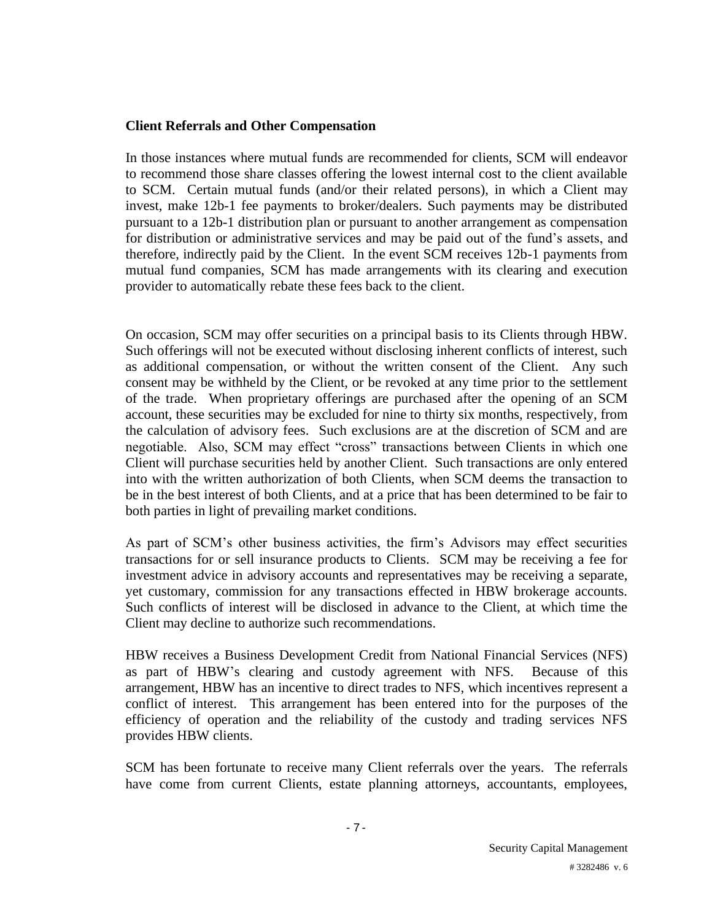#### **Client Referrals and Other Compensation**

In those instances where mutual funds are recommended for clients, SCM will endeavor to recommend those share classes offering the lowest internal cost to the client available to SCM. Certain mutual funds (and/or their related persons), in which a Client may invest, make 12b-1 fee payments to broker/dealers. Such payments may be distributed pursuant to a 12b-1 distribution plan or pursuant to another arrangement as compensation for distribution or administrative services and may be paid out of the fund's assets, and therefore, indirectly paid by the Client. In the event SCM receives 12b-1 payments from mutual fund companies, SCM has made arrangements with its clearing and execution provider to automatically rebate these fees back to the client.

On occasion, SCM may offer securities on a principal basis to its Clients through HBW. Such offerings will not be executed without disclosing inherent conflicts of interest, such as additional compensation, or without the written consent of the Client. Any such consent may be withheld by the Client, or be revoked at any time prior to the settlement of the trade. When proprietary offerings are purchased after the opening of an SCM account, these securities may be excluded for nine to thirty six months, respectively, from the calculation of advisory fees. Such exclusions are at the discretion of SCM and are negotiable. Also, SCM may effect "cross" transactions between Clients in which one Client will purchase securities held by another Client. Such transactions are only entered into with the written authorization of both Clients, when SCM deems the transaction to be in the best interest of both Clients, and at a price that has been determined to be fair to both parties in light of prevailing market conditions.

As part of SCM's other business activities, the firm's Advisors may effect securities transactions for or sell insurance products to Clients. SCM may be receiving a fee for investment advice in advisory accounts and representatives may be receiving a separate, yet customary, commission for any transactions effected in HBW brokerage accounts. Such conflicts of interest will be disclosed in advance to the Client, at which time the Client may decline to authorize such recommendations.

HBW receives a Business Development Credit from National Financial Services (NFS) as part of HBW's clearing and custody agreement with NFS. Because of this arrangement, HBW has an incentive to direct trades to NFS, which incentives represent a conflict of interest. This arrangement has been entered into for the purposes of the efficiency of operation and the reliability of the custody and trading services NFS provides HBW clients.

SCM has been fortunate to receive many Client referrals over the years. The referrals have come from current Clients, estate planning attorneys, accountants, employees,